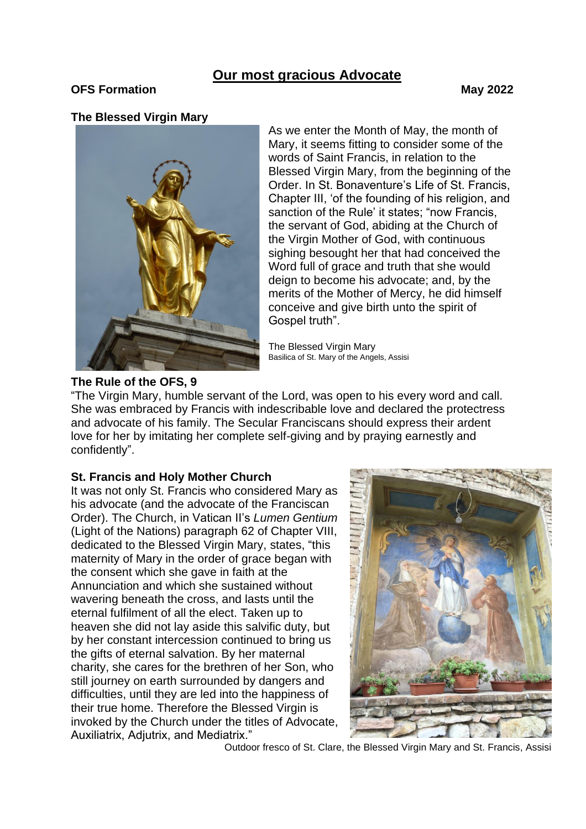# **Our most gracious Advocate**

## **OFS Formation May 2022**

#### **The Blessed Virgin Mary**



As we enter the Month of May, the month of Mary, it seems fitting to consider some of the words of Saint Francis, in relation to the Blessed Virgin Mary, from the beginning of the Order. In St. Bonaventure's Life of St. Francis, Chapter III, 'of the founding of his religion, and sanction of the Rule' it states; "now Francis, the servant of God, abiding at the Church of the Virgin Mother of God, with continuous sighing besought her that had conceived the Word full of grace and truth that she would deign to become his advocate; and, by the merits of the Mother of Mercy, he did himself conceive and give birth unto the spirit of Gospel truth".

The Blessed Virgin Mary Basilica of St. Mary of the Angels, Assisi

#### **The Rule of the OFS, 9**

"The Virgin Mary, humble servant of the Lord, was open to his every word and call. She was embraced by Francis with indescribable love and declared the protectress and advocate of his family. The Secular Franciscans should express their ardent love for her by imitating her complete self-giving and by praying earnestly and confidently".

## **St. Francis and Holy Mother Church**

It was not only St. Francis who considered Mary as his advocate (and the advocate of the Franciscan Order). The Church, in Vatican II's *Lumen Gentium* (Light of the Nations) paragraph 62 of Chapter VIII, dedicated to the Blessed Virgin Mary, states, "this maternity of Mary in the order of grace began with the consent which she gave in faith at the Annunciation and which she sustained without wavering beneath the cross, and lasts until the eternal fulfilment of all the elect. Taken up to heaven she did not lay aside this salvific duty, but by her constant intercession continued to bring us the gifts of eternal salvation. By her maternal charity, she cares for the brethren of her Son, who still journey on earth surrounded by dangers and difficulties, until they are led into the happiness of their true home. Therefore the Blessed Virgin is invoked by the Church under the titles of Advocate, Auxiliatrix, Adjutrix, and Mediatrix."



Outdoor fresco of St. Clare, the Blessed Virgin Mary and St. Francis, Assisi